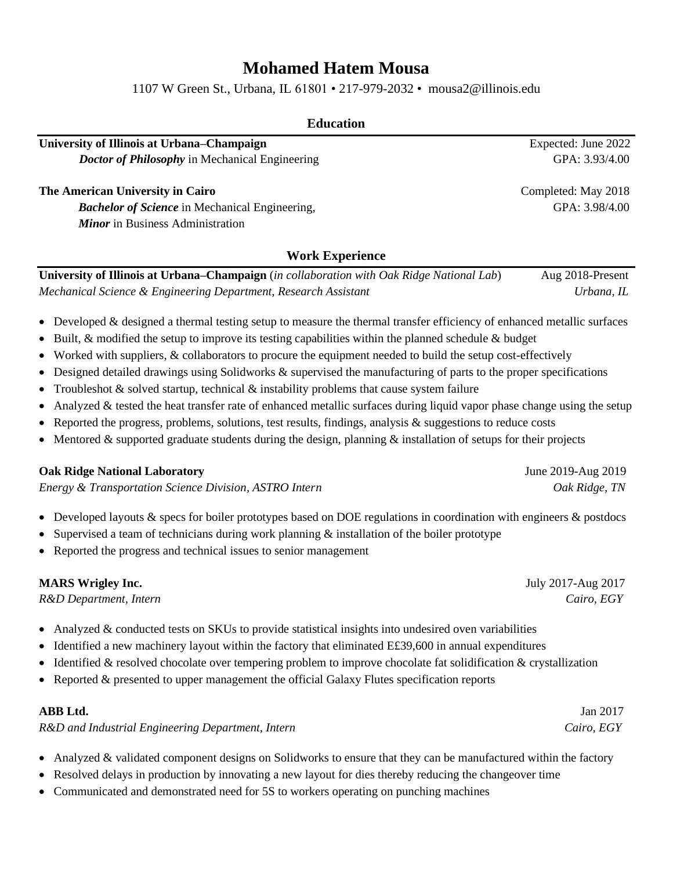# **Mohamed Hatem Mousa**

1107 W Green St., Urbana, IL 61801 • 217-979-2032 • [mousa2@illinois.edu](mailto:mousa2@illinois.edu)

## **Education**

**University of Illinois at Urbana–Champaign** *Expected: June 2022 Doctor of Philosophy* in Mechanical Engineering GPA: 3.93/4.00

#### **The American University in Cairo** Completed: May 2018

*Bachelor of Science* in Mechanical Engineering, GPA: 3.98/4.00 *Minor* in Business Administration

## **Work Experience**

**University of Illinois at Urbana–Champaign** (*in collaboration with Oak Ridge National Lab*)Aug 2018-Present *Mechanical Science & Engineering Department, Research Assistant Urbana, IL* 

- Developed & designed a thermal testing setup to measure the thermal transfer efficiency of enhanced metallic surfaces
- Built, & modified the setup to improve its testing capabilities within the planned schedule & budget
- Worked with suppliers, & collaborators to procure the equipment needed to build the setup cost-effectively
- Designed detailed drawings using Solidworks & supervised the manufacturing of parts to the proper specifications
- Troubleshot  $\&$  solved startup, technical  $\&$  instability problems that cause system failure
- Analyzed  $&$  tested the heat transfer rate of enhanced metallic surfaces during liquid vapor phase change using the setup
- Reported the progress, problems, solutions, test results, findings, analysis & suggestions to reduce costs
- Mentored  $\&$  supported graduate students during the design, planning  $\&$  installation of setups for their projects

#### **Oak Ridge National Laboratory** June 2019-Aug 2019

*Energy & Transportation Science Division, ASTRO Intern Oak Ridge, TN*

- Developed layouts & specs for boiler prototypes based on DOE regulations in coordination with engineers & postdocs
- Supervised a team of technicians during work planning & installation of the boiler prototype
- Reported the progress and technical issues to senior management

#### **MARS Wrigley Inc.** July 2017-Aug 2017

*R&D Department, Intern Cairo, EGY*

- Analyzed & conducted tests on SKUs to provide statistical insights into undesired oven variabilities
- Identified a new machinery layout within the factory that eliminated E£39,600 in annual expenditures
- Identified & resolved chocolate over tempering problem to improve chocolate fat solidification & crystallization
- Reported & presented to upper management the official Galaxy Flutes specification reports

| ABB Ltd.                                          | Jan 2017   |
|---------------------------------------------------|------------|
| R&D and Industrial Engineering Department, Intern | Cairo, EGY |

- Analyzed & validated component designs on Solidworks to ensure that they can be manufactured within the factory
- Resolved delays in production by innovating a new layout for dies thereby reducing the changeover time
- Communicated and demonstrated need for 5S to workers operating on punching machines